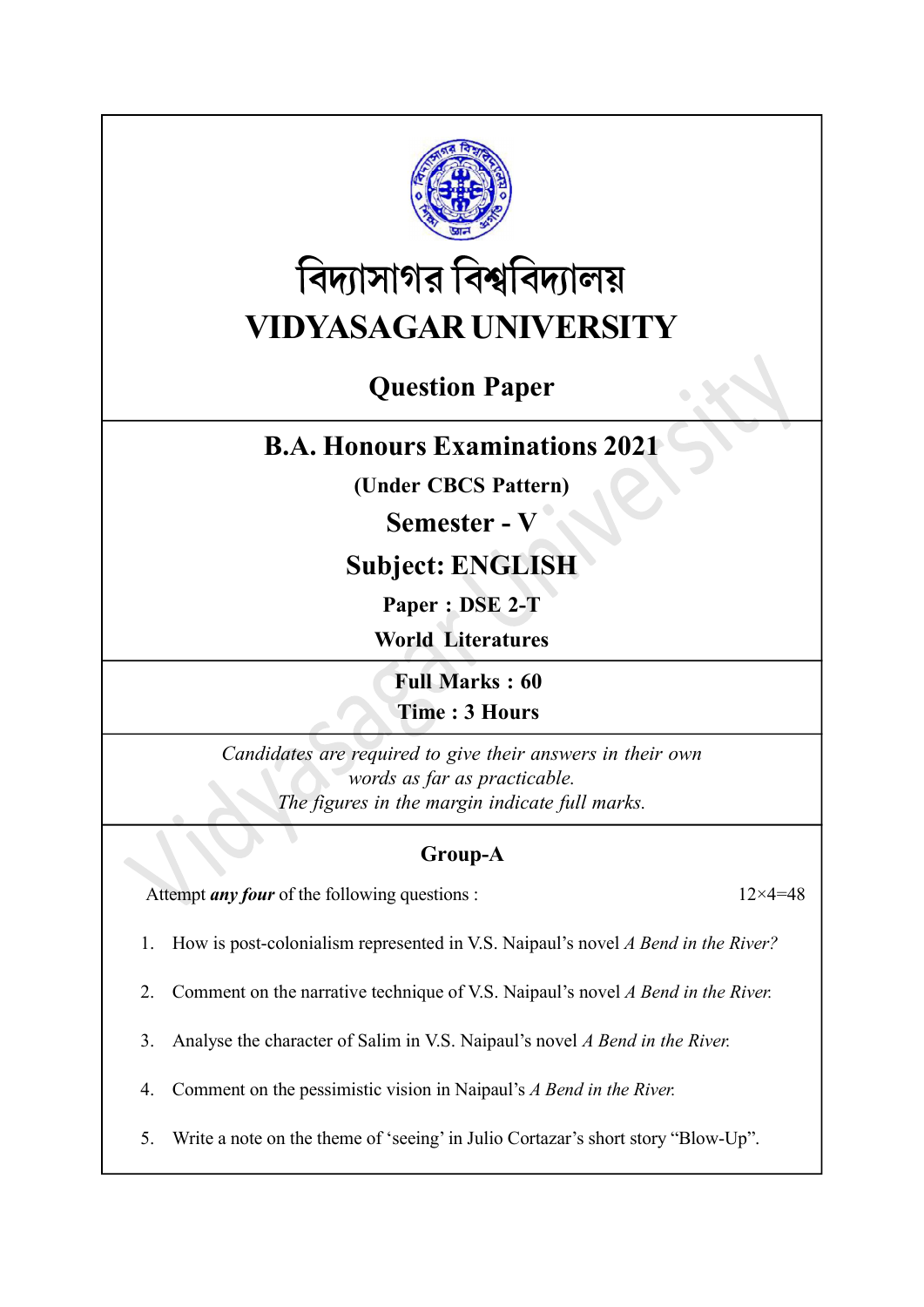

# বিদ্যাসাগর বিশ্ববিদ্যালয় VIDYASAGAR UNIVERSITY

# Question Paper

## B.A. Honours Examinations 2021

(Under CBCS Pattern)

### Semester - V

# Subject: ENGLISH

Paper : DSE 2-T

World Literatures

Full Marks : 60 Time : 3 Hours

Candidates are required to give their answers in their own words as far as practicable. The figures in the margin indicate full marks.

#### Group-A

Attempt *any four* of the following questions :  $12 \times 4 = 48$ 

1. How is post-colonialism represented in V.S. Naipaul's novel A Bend in the River?

2. Comment on the narrative technique of V.S. Naipaul's novel A Bend in the River.

3. Analyse the character of Salim in V.S. Naipaul's novel A Bend in the River.

4. Comment on the pessimistic vision in Naipaul's A Bend in the River.

5. Write a note on the theme of 'seeing' in Julio Cortazar's short story "Blow-Up".